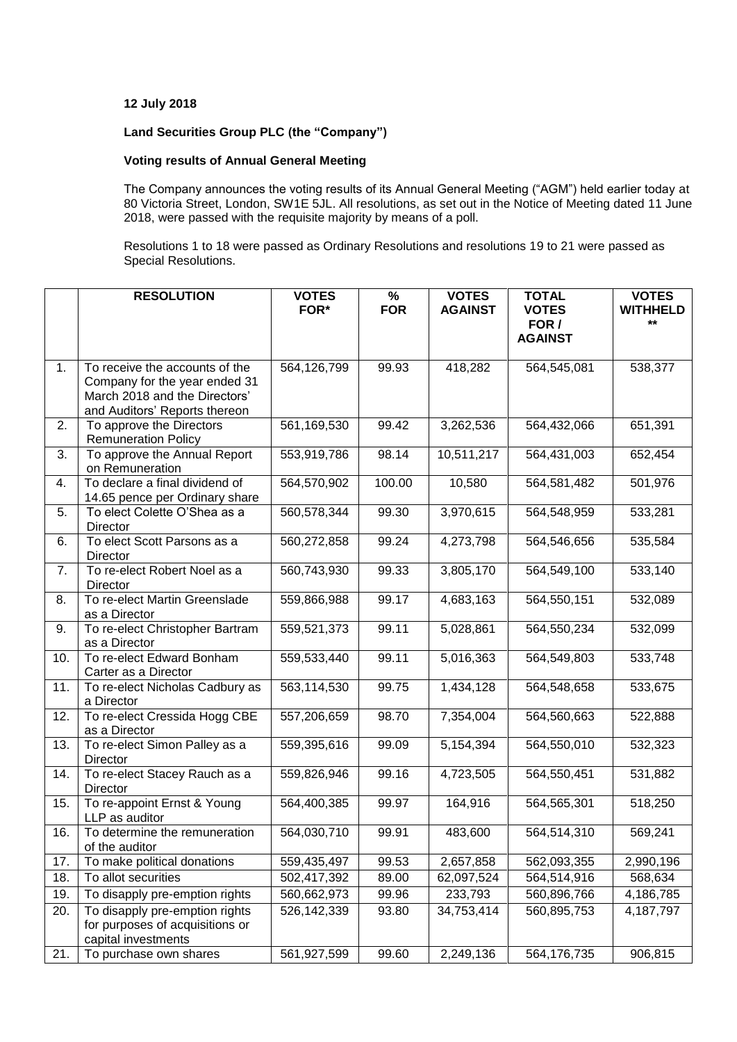## **12 July 2018**

## **Land Securities Group PLC (the "Company")**

## **Voting results of Annual General Meeting**

The Company announces the voting results of its Annual General Meeting ("AGM") held earlier today at 80 Victoria Street, London, SW1E 5JL. All resolutions, as set out in the Notice of Meeting dated 11 June 2018, were passed with the requisite majority by means of a poll.

Resolutions 1 to 18 were passed as Ordinary Resolutions and resolutions 19 to 21 were passed as Special Resolutions.

|     | <b>RESOLUTION</b>                                                                                                                 | <b>VOTES</b><br>FOR* | %<br><b>FOR</b> | <b>VOTES</b><br><b>AGAINST</b> | <b>TOTAL</b><br><b>VOTES</b> | <b>VOTES</b><br><b>WITHHELD</b> |
|-----|-----------------------------------------------------------------------------------------------------------------------------------|----------------------|-----------------|--------------------------------|------------------------------|---------------------------------|
|     |                                                                                                                                   |                      |                 |                                | FOR /<br><b>AGAINST</b>      | **                              |
| 1.  | To receive the accounts of the<br>Company for the year ended 31<br>March 2018 and the Directors'<br>and Auditors' Reports thereon | 564,126,799          | 99.93           | 418,282                        | 564,545,081                  | 538,377                         |
| 2.  | To approve the Directors<br><b>Remuneration Policy</b>                                                                            | 561,169,530          | 99.42           | 3,262,536                      | 564,432,066                  | 651,391                         |
| 3.  | To approve the Annual Report<br>on Remuneration                                                                                   | 553,919,786          | 98.14           | 10,511,217                     | 564,431,003                  | 652,454                         |
| 4.  | To declare a final dividend of<br>14.65 pence per Ordinary share                                                                  | 564,570,902          | 100.00          | 10,580                         | 564,581,482                  | 501,976                         |
| 5.  | To elect Colette O'Shea as a<br><b>Director</b>                                                                                   | 560,578,344          | 99.30           | 3,970,615                      | 564,548,959                  | 533,281                         |
| 6.  | To elect Scott Parsons as a<br>Director                                                                                           | 560,272,858          | 99.24           | 4,273,798                      | 564,546,656                  | 535,584                         |
| 7.  | To re-elect Robert Noel as a<br>Director                                                                                          | 560,743,930          | 99.33           | 3,805,170                      | 564,549,100                  | 533,140                         |
| 8.  | To re-elect Martin Greenslade<br>as a Director                                                                                    | 559,866,988          | 99.17           | 4,683,163                      | 564,550,151                  | 532,089                         |
| 9.  | To re-elect Christopher Bartram<br>as a Director                                                                                  | 559,521,373          | 99.11           | 5,028,861                      | 564,550,234                  | 532,099                         |
| 10. | To re-elect Edward Bonham<br>Carter as a Director                                                                                 | 559,533,440          | 99.11           | 5,016,363                      | 564,549,803                  | 533,748                         |
| 11. | To re-elect Nicholas Cadbury as<br>a Director                                                                                     | 563,114,530          | 99.75           | 1,434,128                      | 564,548,658                  | 533,675                         |
| 12. | To re-elect Cressida Hogg CBE<br>as a Director                                                                                    | 557,206,659          | 98.70           | 7,354,004                      | 564,560,663                  | 522,888                         |
| 13. | To re-elect Simon Palley as a<br>Director                                                                                         | 559,395,616          | 99.09           | 5,154,394                      | 564,550,010                  | 532,323                         |
| 14. | To re-elect Stacey Rauch as a<br>Director                                                                                         | 559,826,946          | 99.16           | 4,723,505                      | 564,550,451                  | 531,882                         |
| 15. | To re-appoint Ernst & Young<br>LLP as auditor                                                                                     | 564,400,385          | 99.97           | 164,916                        | 564,565,301                  | 518,250                         |
| 16. | To determine the remuneration<br>of the auditor                                                                                   | 564,030,710          | 99.91           | 483,600                        | 564,514,310                  | 569,241                         |
| 17. | To make political donations                                                                                                       | 559,435,497          | 99.53           | 2,657,858                      | 562,093,355                  | 2,990,196                       |
| 18. | To allot securities                                                                                                               | 502,417,392          | 89.00           | 62,097,524                     | 564,514,916                  | 568,634                         |
| 19. | To disapply pre-emption rights                                                                                                    | 560,662,973          | 99.96           | 233,793                        | 560,896,766                  | 4,186,785                       |
| 20. | To disapply pre-emption rights<br>for purposes of acquisitions or<br>capital investments                                          | 526,142,339          | 93.80           | 34,753,414                     | 560,895,753                  | 4,187,797                       |
| 21. | To purchase own shares                                                                                                            | 561,927,599          | 99.60           | 2,249,136                      | 564,176,735                  | 906,815                         |